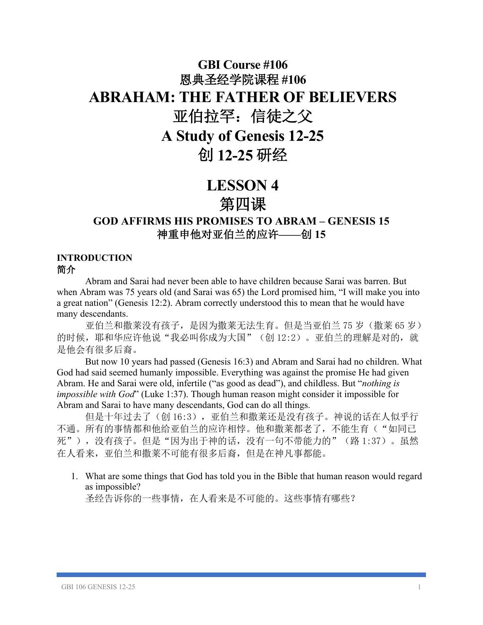# **GBI Course #106** 恩典圣经学院课程 **#106 ABRAHAM: THE FATHER OF BELIEVERS** 亚伯拉罕:信徒之父 **A Study of Genesis 12-25** 创 **12-25** 研经

## **LESSON 4** 第四课

## **GOD AFFIRMS HIS PROMISES TO ABRAM – GENESIS 15** 神重申他对亚伯兰的应许**——**创 **15**

#### **INTRODUCTION** 简介

Abram and Sarai had never been able to have children because Sarai was barren. But when Abram was 75 years old (and Sarai was 65) the Lord promised him, "I will make you into a great nation" (Genesis 12:2). Abram correctly understood this to mean that he would have many descendants.

亚伯兰和撒莱没有孩子,是因为撒莱无法生育。但是当亚伯兰 75 岁(撒莱 65 岁) 的时候,耶和华应许他说"我必叫你成为大国"(创 12:2)。亚伯兰的理解是对的,就 是他会有很多后裔。

But now 10 years had passed (Genesis 16:3) and Abram and Sarai had no children. What God had said seemed humanly impossible. Everything was against the promise He had given Abram. He and Sarai were old, infertile ("as good as dead"), and childless. But "*nothing is impossible with God*" (Luke 1:37). Though human reason might consider it impossible for Abram and Sarai to have many descendants, God can do all things.

但是十年过去了(创 16:3),亚伯兰和撒莱还是没有孩子。神说的话在人似乎行 不通。所有的事情都和他给亚伯兰的应许相悖。他和撒莱都老了,不能生育("如同已 死"), 没有孩子。但是"因为出于神的话, 没有一句不带能力的"(路 1:37)。虽然 在人看来,亚伯兰和撒莱不可能有很多后裔,但是在神凡事都能。

1. What are some things that God has told you in the Bible that human reason would regard as impossible?

圣经告诉你的一些事情,在人看来是不可能的。这些事情有哪些?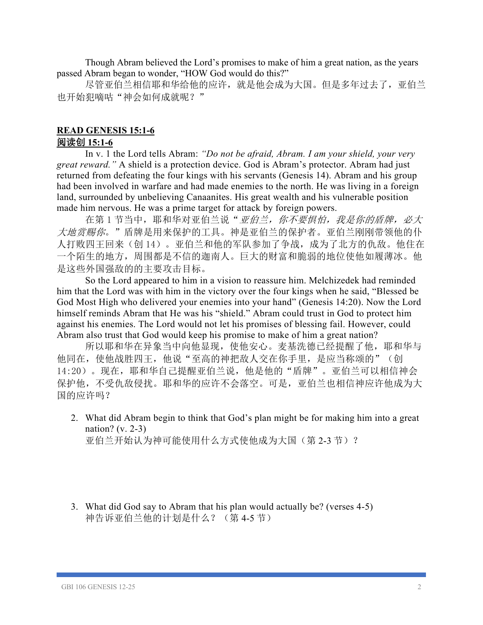Though Abram believed the Lord's promises to make of him a great nation, as the years passed Abram began to wonder, "HOW God would do this?"

尽管亚伯兰相信耶和华给他的应许,就是他会成为大国。但是多年过去了,亚伯兰 也开始犯嘀咕"神会如何成就呢?"

#### **READ GENESIS 15:1-6**

### 阅读创 **15:1-6**

In v. 1 the Lord tells Abram: *"Do not be afraid, Abram. I am your shield, your very great reward."* A shield is a protection device. God is Abram's protector. Abram had just returned from defeating the four kings with his servants (Genesis 14). Abram and his group had been involved in warfare and had made enemies to the north. He was living in a foreign land, surrounded by unbelieving Canaanites. His great wealth and his vulnerable position made him nervous. He was a prime target for attack by foreign powers.

在第1节当中,耶和华对亚伯兰说"亚伯兰,你不要惧怕,我是你的盾牌,必大 大地赏赐你。"盾牌是用来保护的工具。神是亚伯兰的保护者。亚伯兰刚刚带领他的仆 人打败四王回来(创 14)。亚伯兰和他的军队参加了争战,成为了北方的仇敌。他住在 一个陌生的地方,周围都是不信的迦南人。巨大的财富和脆弱的地位使他如履薄冰。他 是这些外国强敌的的主要攻击目标。

So the Lord appeared to him in a vision to reassure him. Melchizedek had reminded him that the Lord was with him in the victory over the four kings when he said, "Blessed be God Most High who delivered your enemies into your hand" (Genesis 14:20). Now the Lord himself reminds Abram that He was his "shield." Abram could trust in God to protect him against his enemies. The Lord would not let his promises of blessing fail. However, could Abram also trust that God would keep his promise to make of him a great nation?

所以耶和华在异象当中向他显现,使他安心。麦基洗德已经提醒了他,耶和华与 他同在,使他战胜四王,他说"至高的神把敌人交在你手里,是应当称颂的"(创 14:20)。现在,耶和华自己提醒亚伯兰说,他是他的"盾牌"。亚伯兰可以相信神会 保护他,不受仇敌侵扰。耶和华的应许不会落空。可是,亚伯兰也相信神应许他成为大 国的应许吗?

2. What did Abram begin to think that God's plan might be for making him into a great nation? (v. 2-3)

亚伯兰开始认为神可能使用什么方式使他成为大国(第 2-3 节)?

3. What did God say to Abram that his plan would actually be? (verses 4-5) 神告诉亚伯兰他的计划是什么?(第 4-5 节)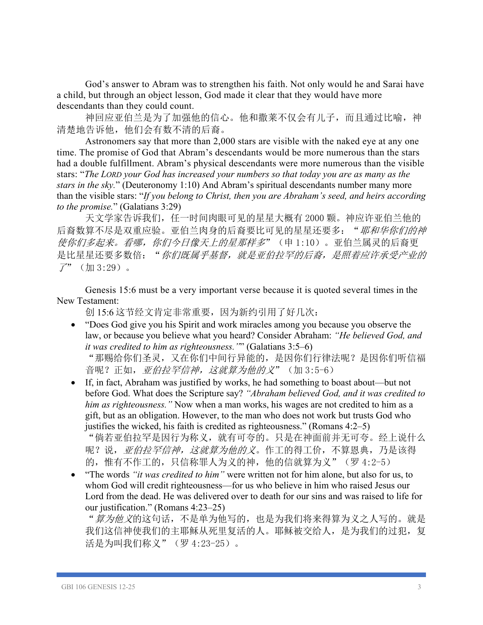God's answer to Abram was to strengthen his faith. Not only would he and Sarai have a child, but through an object lesson, God made it clear that they would have more descendants than they could count.

神回应亚伯兰是为了加强他的信心。他和撒莱不仅会有儿子,而且通过比喻,神 清楚地告诉他,他们会有数不清的后裔。

Astronomers say that more than 2,000 stars are visible with the naked eye at any one time. The promise of God that Abram's descendants would be more numerous than the stars had a double fulfillment. Abram's physical descendants were more numerous than the visible stars: "*The LORD your God has increased your numbers so that today you are as many as the stars in the sky.*" (Deuteronomy 1:10) And Abram's spiritual descendants number many more than the visible stars: "*If you belong to Christ, then you are Abraham's seed, and heirs according to the promise.*" (Galatians 3:29)

天文学家告诉我们,任一时间肉眼可见的星星大概有 2000 颗。神应许亚伯兰他的 后裔数算不尽是双重应验。亚伯兰肉身的后裔要比可见的星星还要多: "耶和华你们的神 使你们多起来。看哪,你们今日像天上的星那样多"(申 1:10)。亚伯兰属灵的后裔更 是比星星还要多数倍: "你们既属乎基督, 就是亚伯拉罕的后裔, 是照着应许承受产业的  $7"$  (加 3:29)。

Genesis 15:6 must be a very important verse because it is quoted several times in the New Testament:

创 15:6 这节经文肯定非常重要,因为新约引用了好几次:

- "Does God give you his Spirit and work miracles among you because you observe the law, or because you believe what you heard? Consider Abraham: *"He believed God, and it was credited to him as righteousness."*" (Galatians 3:5–6) "那赐给你们圣灵,又在你们中间行异能的,是因你们行律法呢?是因你们听信福 音呢?正如, *亚伯拉罕信神, 这就算为他的义*"(加 3:5-6)
- If, in fact, Abraham was justified by works, he had something to boast about—but not before God. What does the Scripture say? *"Abraham believed God, and it was credited to him as righteousness."* Now when a man works, his wages are not credited to him as a gift, but as an obligation. However, to the man who does not work but trusts God who justifies the wicked, his faith is credited as righteousness." (Romans 4:2–5)

"倘若亚伯拉罕是因行为称义,就有可夸的。只是在神面前并无可夸。经上说什么 呢?说, 亚伯拉罕信神, 这就算为他的义。作工的得工价, 不算恩典, 乃是该得 的,惟有不作工的,只信称罪人为义的神,他的信就算为义"(罗 4:2-5)

• "The words *"it was credited to him"* were written not for him alone, but also for us, to whom God will credit righteousness—for us who believe in him who raised Jesus our Lord from the dead. He was delivered over to death for our sins and was raised to life for our justification." (Romans 4:23–25)

"*算为他义*的这句话,不是单为他写的,也是为我们将来得算为义之人写的。就是 我们这信神使我们的主耶稣从死里复活的人。耶稣被交给人,是为我们的过犯,复 活是为叫我们称义"(罗 4:23-25)。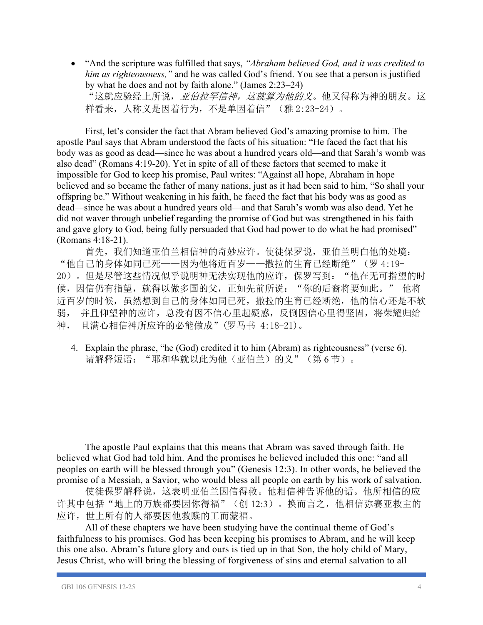• "And the scripture was fulfilled that says, *"Abraham believed God, and it was credited to him as righteousness,"* and he was called God's friend. You see that a person is justified by what he does and not by faith alone." (James 2:23–24)

"这就应验经上所说,亚伯拉罕信神,这就算为他的义。他又得称为神的朋友。这 样看来,人称义是因着行为,不是单因着信"(雅 2:23-24)。

First, let's consider the fact that Abram believed God's amazing promise to him. The apostle Paul says that Abram understood the facts of his situation: "He faced the fact that his body was as good as dead—since he was about a hundred years old—and that Sarah's womb was also dead" (Romans 4:19-20). Yet in spite of all of these factors that seemed to make it impossible for God to keep his promise, Paul writes: "Against all hope, Abraham in hope believed and so became the father of many nations, just as it had been said to him, "So shall your offspring be." Without weakening in his faith, he faced the fact that his body was as good as dead—since he was about a hundred years old—and that Sarah's womb was also dead. Yet he did not waver through unbelief regarding the promise of God but was strengthened in his faith and gave glory to God, being fully persuaded that God had power to do what he had promised" (Romans 4:18-21).

首先,我们知道亚伯兰相信神的奇妙应许。使徒保罗说,亚伯兰明白他的处境: "他自己的身体如同已死——因为他将近百岁——撒拉的生育已经断绝"(罗 4:19- 20)。但是尽管这些情况似乎说明神无法实现他的应许,保罗写到: "他在无可指望的时 候,因信仍有指望,就得以做多国的父,正如先前所说:"你的后裔将要如此。"他将 近百岁的时候,虽然想到自己的身体如同已死,撒拉的生育已经断绝,他的信心还是不软 弱, 并且仰望神的应许,总没有因不信心里起疑惑,反倒因信心里得坚固,将荣耀归给 神, 且满心相信神所应许的必能做成"(罗马书 4:18-21)。

4. Explain the phrase, "he (God) credited it to him (Abram) as righteousness" (verse 6). 请解释短语: "耶和华就以此为他(亚伯兰)的义"(第6节)。

The apostle Paul explains that this means that Abram was saved through faith. He believed what God had told him. And the promises he believed included this one: "and all peoples on earth will be blessed through you" (Genesis 12:3). In other words, he believed the promise of a Messiah, a Savior, who would bless all people on earth by his work of salvation.

使徒保罗解释说,这表明亚伯兰因信得救。他相信神告诉他的话。他所相信的应 许其中包括"地上的万族都要因你得福"(创 12:3)。换而言之,他相信弥赛亚救主的 应许,世上所有的人都要因他救赎的工而蒙福。

All of these chapters we have been studying have the continual theme of God's faithfulness to his promises. God has been keeping his promises to Abram, and he will keep this one also. Abram's future glory and ours is tied up in that Son, the holy child of Mary, Jesus Christ, who will bring the blessing of forgiveness of sins and eternal salvation to all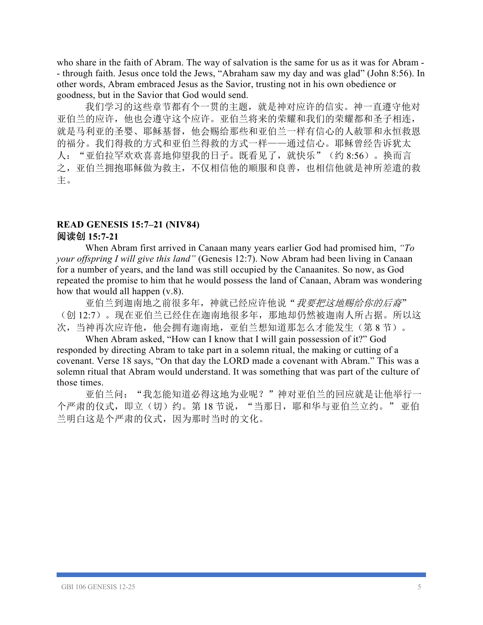who share in the faith of Abram. The way of salvation is the same for us as it was for Abram - - through faith. Jesus once told the Jews, "Abraham saw my day and was glad" (John 8:56). In other words, Abram embraced Jesus as the Savior, trusting not in his own obedience or goodness, but in the Savior that God would send.

我们学习的这些章节都有个一贯的主题,就是神对应许的信实。神一直遵守他对 亚伯兰的应许,他也会遵守这个应许。亚伯兰将来的荣耀和我们的荣耀都和圣子相连, 就是马利亚的圣婴、耶稣基督,他会赐给那些和亚伯兰一样有信心的人赦罪和永恒救恩 的福分。我们得救的方式和亚伯兰得救的方式一样——通过信心。耶稣曾经告诉犹太 人:"亚伯拉罕欢欢喜喜地仰望我的日子。既看见了,就快乐"(约 8:56)。换而言 之,亚伯兰拥抱耶稣做为救主,不仅相信他的顺服和良善,也相信他就是神所差遣的救 主。

#### **READ GENESIS 15:7–21 (NIV84)** 阅读创 **15:7-21**

When Abram first arrived in Canaan many years earlier God had promised him, *"To your offspring I will give this land"* (Genesis 12:7). Now Abram had been living in Canaan for a number of years, and the land was still occupied by the Canaanites. So now, as God repeated the promise to him that he would possess the land of Canaan, Abram was wondering how that would all happen (v.8).

亚伯兰到迦南地之前很多年,神就已经应许他说"*我要把这地赐给你的后裔*" (创 12:7)。现在亚伯兰已经住在迦南地很多年,那地却仍然被迦南人所占据。所以这 次,当神再次应许他,他会拥有迦南地,亚伯兰想知道那怎么才能发生(第8节)。

When Abram asked, "How can I know that I will gain possession of it?" God responded by directing Abram to take part in a solemn ritual, the making or cutting of a covenant. Verse 18 says, "On that day the LORD made a covenant with Abram." This was a solemn ritual that Abram would understand. It was something that was part of the culture of those times.

亚伯兰问:"我怎能知道必得这地为业呢?"神对亚伯兰的回应就是让他举行一 个严肃的仪式,即立(切)约。第18节说,"当那日,耶和华与亚伯兰立约。"亚伯 兰明白这是个严肃的仪式,因为那时当时的文化。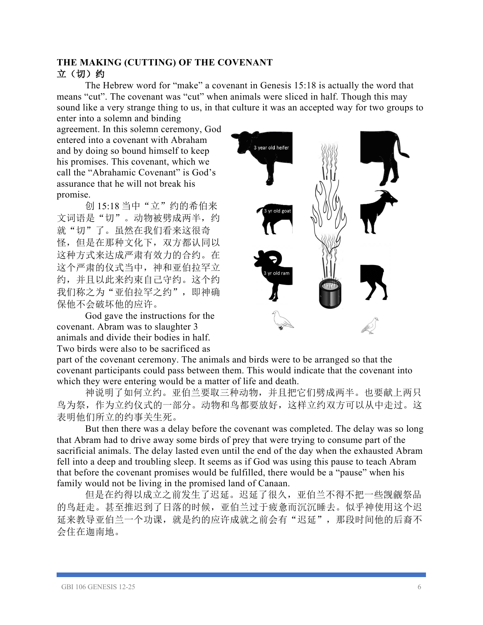#### **THE MAKING (CUTTING) OF THE COVENANT** 立(切)约

The Hebrew word for "make" a covenant in Genesis 15:18 is actually the word that means "cut". The covenant was "cut" when animals were sliced in half. Though this may sound like a very strange thing to us, in that culture it was an accepted way for two groups to enter into a solemn and binding

agreement. In this solemn ceremony, God entered into a covenant with Abraham and by doing so bound himself to keep his promises. This covenant, which we call the "Abrahamic Covenant" is God's assurance that he will not break his promise.

创 15:18 当中"立"约的希伯来 文词语是"切"。动物被劈成两半,约 就"切"了。虽然在我们看来这很奇 怪,但是在那种文化下,双方都认同以 这种方式来达成严肃有效力的合约。在 这个严肃的仪式当中,神和亚伯拉罕立 约,并且以此来约束自己守约。这个约 我们称之为"亚伯拉罕之约",即神确 保他不会破坏他的应许。

God gave the instructions for the covenant. Abram was to slaughter 3 animals and divide their bodies in half. Two birds were also to be sacrificed as



part of the covenant ceremony. The animals and birds were to be arranged so that the covenant participants could pass between them. This would indicate that the covenant into which they were entering would be a matter of life and death.

神说明了如何立约。亚伯兰要取三种动物,并且把它们劈成两半。也要献上两只 鸟为祭,作为立约仪式的一部分。动物和鸟都要放好,这样立约双方可以从中走过。这 表明他们所立的约事关生死。

But then there was a delay before the covenant was completed. The delay was so long that Abram had to drive away some birds of prey that were trying to consume part of the sacrificial animals. The delay lasted even until the end of the day when the exhausted Abram fell into a deep and troubling sleep. It seems as if God was using this pause to teach Abram that before the covenant promises would be fulfilled, there would be a "pause" when his family would not be living in the promised land of Canaan.

但是在约得以成立之前发生了迟延。迟延了很久,亚伯兰不得不把一些觊觎祭品 的鸟赶走。甚至推迟到了日落的时候,亚伯兰过于疲惫而沉沉睡去。似乎神使用这个迟 延来教导亚伯兰一个功课,就是约的应许成就之前会有"迟延",那段时间他的后裔不 会住在迦南地。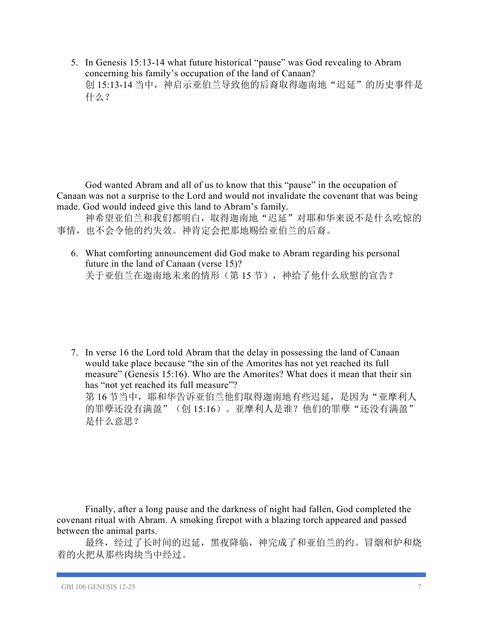5. In Genesis 15:13-14 what future historical "pause" was God revealing to Abram concerning his family's occupation of the land of Canaan? 创 15:13-14 当中, 神启示亚伯兰导致他的后裔取得迦南地"迟延"的历史事件是 什么?

God wanted Abram and all of us to know that this "pause" in the occupation of Canaan was not a surprise to the Lord and would not invalidate the covenant that was being made. God would indeed give this land to Abram's family.

神希望亚伯兰和我们都明白,取得迦南地"迟延"对耶和华来说不是什么吃惊的 事情,也不会令他的约失效。神肯定会把那地赐给亚伯兰的后裔。

6. What comforting announcement did God make to Abram regarding his personal future in the land of Canaan (verse 15)? 关于亚伯兰在迦南地未来的情形(第15节), 神给了他什么欣慰的宣告?

7. In verse 16 the Lord told Abram that the delay in possessing the land of Canaan would take place because "the sin of the Amorites has not yet reached its full measure" (Genesis 15:16). Who are the Amorites? What does it mean that their sin has "not yet reached its full measure"? 第16节当中,耶和华告诉亚伯兰他们取得迦南地有些迟延,是因为"亚摩利人 的罪孽还没有满盈"(创 15:16)。亚摩利人是谁?他们的罪孽"还没有满盈" 是什么意思?

Finally, after a long pause and the darkness of night had fallen, God completed the covenant ritual with Abram. A smoking firepot with a blazing torch appeared and passed between the animal parts.

最终,经过了长时间的迟延,黑夜降临,神完成了和亚伯兰的约。冒烟和炉和烧 着的火把从那些肉块当中经过。